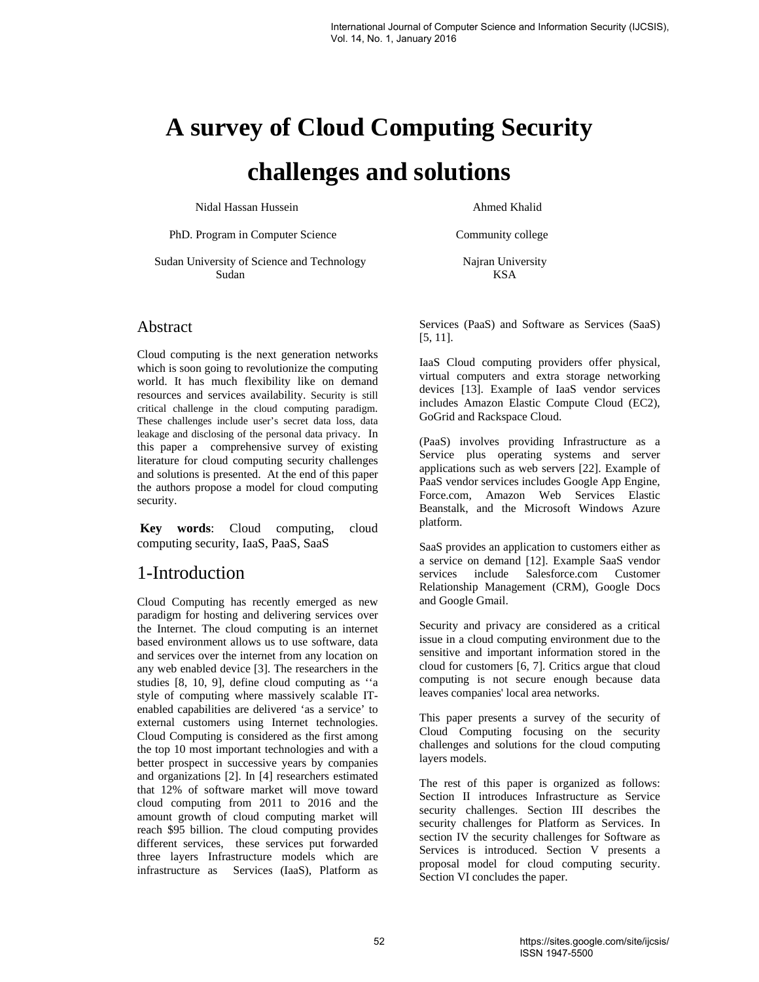# **A survey of Cloud Computing Security challenges and solutions**

Nidal Hassan Hussein **Ahmed Khalid** 

PhD. Program in Computer Science Community college

Sudan University of Science and Technology Najran University Sudan KSA

#### Abstract

Cloud computing is the next generation networks which is soon going to revolutionize the computing world. It has much flexibility like on demand resources and services availability. Security is still critical challenge in the cloud computing paradigm. These challenges include user's secret data loss, data leakage and disclosing of the personal data privacy. In this paper a comprehensive survey of existing literature for cloud computing security challenges and solutions is presented. At the end of this paper the authors propose a model for cloud computing security.

**Key words**: Cloud computing, cloud computing security, IaaS, PaaS, SaaS

## 1-Introduction

Cloud Computing has recently emerged as new paradigm for hosting and delivering services over the Internet. The cloud computing is an internet based environment allows us to use software, data and services over the internet from any location on any web enabled device [3]. The researchers in the studies [8, 10, 9], define cloud computing as ''a style of computing where massively scalable ITenabled capabilities are delivered 'as a service' to external customers using Internet technologies. Cloud Computing is considered as the first among the top 10 most important technologies and with a better prospect in successive years by companies and organizations [2]. In [4] researchers estimated that 12% of software market will move toward cloud computing from 2011 to 2016 and the amount growth of cloud computing market will reach \$95 billion. The cloud computing provides different services, these services put forwarded three layers Infrastructure models which are infrastructure as Services (IaaS), Platform as

Services (PaaS) and Software as Services (SaaS) [5, 11].

IaaS Cloud computing providers offer physical, virtual computers and extra storage networking devices [13]. Example of IaaS vendor services includes Amazon Elastic Compute Cloud (EC2), GoGrid and Rackspace Cloud.

(PaaS) involves providing Infrastructure as a Service plus operating systems and server applications such as web servers [22]. Example of PaaS vendor services includes Google App Engine, Force.com, Amazon Web Services Elastic Beanstalk, and the Microsoft Windows Azure platform.

SaaS provides an application to customers either as a service on demand [12]. Example SaaS vendor services include Salesforce.com Customer Relationship Management (CRM), Google Docs and Google Gmail.

Security and privacy are considered as a critical issue in a cloud computing environment due to the sensitive and important information stored in the cloud for customers [6, 7]. Critics argue that cloud computing is not secure enough because data leaves companies' local area networks.

This paper presents a survey of the security of Cloud Computing focusing on the security challenges and solutions for the cloud computing layers models.

The rest of this paper is organized as follows: Section II introduces Infrastructure as Service security challenges. Section III describes the security challenges for Platform as Services. In section IV the security challenges for Software as Services is introduced. Section V presents a proposal model for cloud computing security. Section VI concludes the paper.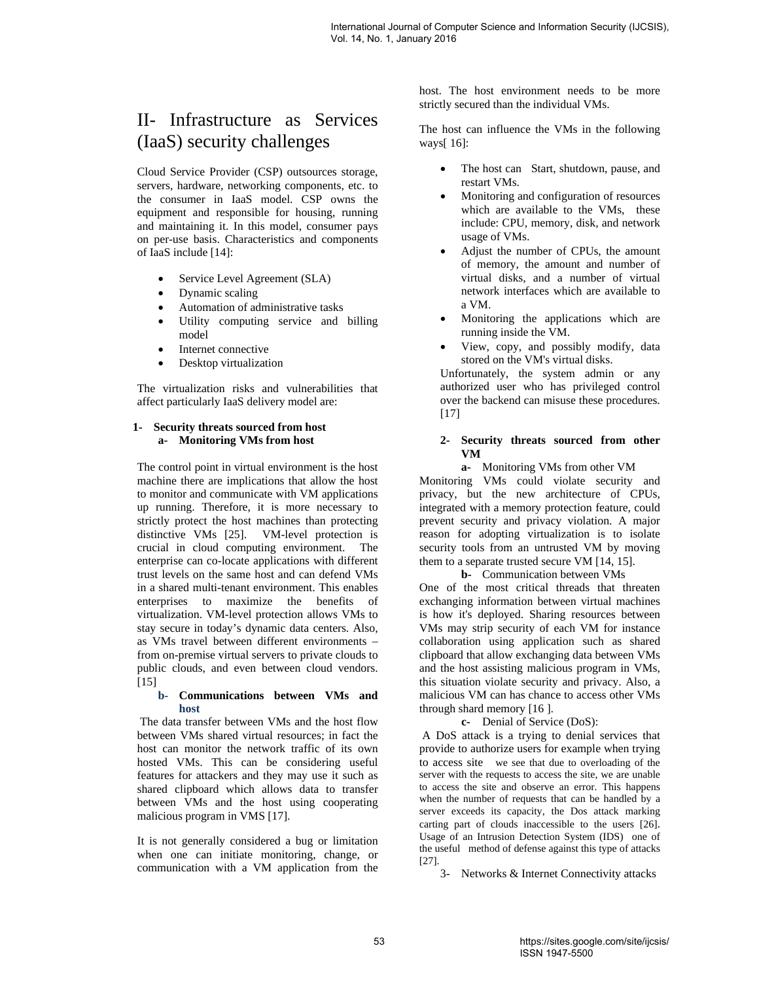## II- Infrastructure as Services (IaaS) security challenges

Cloud Service Provider (CSP) outsources storage, servers, hardware, networking components, etc. to the consumer in IaaS model. CSP owns the equipment and responsible for housing, running and maintaining it. In this model, consumer pays on per-use basis. Characteristics and components of IaaS include [14]:

- Service Level Agreement (SLA)
- Dynamic scaling
- Automation of administrative tasks
- Utility computing service and billing model
- Internet connective
- Desktop virtualization

The virtualization risks and vulnerabilities that affect particularly IaaS delivery model are:

#### **1- Security threats sourced from host a- Monitoring VMs from host**

The control point in virtual environment is the host machine there are implications that allow the host to monitor and communicate with VM applications up running. Therefore, it is more necessary to strictly protect the host machines than protecting distinctive VMs [25]. VM-level protection is crucial in cloud computing environment. The enterprise can co-locate applications with different trust levels on the same host and can defend VMs in a shared multi-tenant environment. This enables enterprises to maximize the benefits of virtualization. VM-level protection allows VMs to stay secure in today's dynamic data centers. Also, as VMs travel between different environments – from on-premise virtual servers to private clouds to public clouds, and even between cloud vendors. [15]

#### **b- Communications between VMs and host**

 The data transfer between VMs and the host flow between VMs shared virtual resources; in fact the host can monitor the network traffic of its own hosted VMs. This can be considering useful features for attackers and they may use it such as shared clipboard which allows data to transfer between VMs and the host using cooperating malicious program in VMS [17].

It is not generally considered a bug or limitation when one can initiate monitoring, change, or communication with a VM application from the

host. The host environment needs to be more strictly secured than the individual VMs.

The host can influence the VMs in the following ways[ 16]:

- The host can Start, shutdown, pause, and restart VMs.
- Monitoring and configuration of resources which are available to the VMs, these include: CPU, memory, disk, and network usage of VMs.
- Adjust the number of CPUs, the amount of memory, the amount and number of virtual disks, and a number of virtual network interfaces which are available to a VM.
- Monitoring the applications which are running inside the VM.
- View, copy, and possibly modify, data stored on the VM's virtual disks.

Unfortunately, the system admin or any authorized user who has privileged control over the backend can misuse these procedures.  $[17]$ 

#### **2- Security threats sourced from other VM**

**a-** Monitoring VMs from other VM

Monitoring VMs could violate security and privacy, but the new architecture of CPUs, integrated with a memory protection feature, could prevent security and privacy violation. A major reason for adopting virtualization is to isolate security tools from an untrusted VM by moving them to a separate trusted secure VM [14, 15].

**b-** Communication between VMs

One of the most critical threads that threaten exchanging information between virtual machines is how it's deployed. Sharing resources between VMs may strip security of each VM for instance collaboration using application such as shared clipboard that allow exchanging data between VMs and the host assisting malicious program in VMs, this situation violate security and privacy. Also, a malicious VM can has chance to access other VMs through shard memory [16 ].

**c-** Denial of Service (DoS):

A DoS attack is a trying to denial services that provide to authorize users for example when trying to access site we see that due to overloading of the server with the requests to access the site, we are unable to access the site and observe an error. This happens when the number of requests that can be handled by a server exceeds its capacity, the Dos attack marking carting part of clouds inaccessible to the users [26]. Usage of an Intrusion Detection System (IDS) one of the useful method of defense against this type of attacks [27].

3- Networks & Internet Connectivity attacks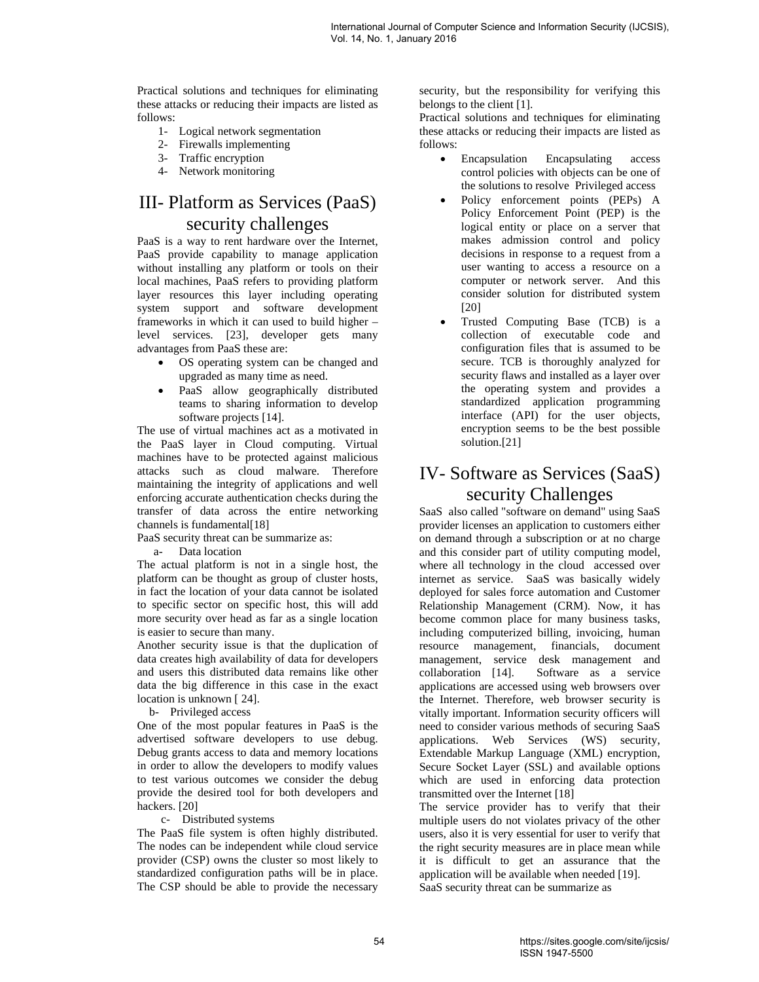Practical solutions and techniques for eliminating these attacks or reducing their impacts are listed as follows:

- 1- Logical network segmentation
- 2- Firewalls implementing
- 3- Traffic encryption
- 4- Network monitoring

## III- Platform as Services (PaaS) security challenges

PaaS is a way to rent hardware over the Internet, PaaS provide capability to manage application without installing any platform or tools on their local machines, PaaS refers to providing platform layer resources this layer including operating system support and software development frameworks in which it can used to build higher – level services. [23], developer gets many advantages from PaaS these are:

- OS operating system can be changed and upgraded as many time as need.
- PaaS allow geographically distributed teams to sharing information to develop software projects [14].

The use of virtual machines act as a motivated in the PaaS layer in Cloud computing. Virtual machines have to be protected against malicious attacks such as cloud malware. Therefore maintaining the integrity of applications and well enforcing accurate authentication checks during the transfer of data across the entire networking channels is fundamental<sup>[18]</sup>

PaaS security threat can be summarize as:

a- Data location

The actual platform is not in a single host, the platform can be thought as group of cluster hosts, in fact the location of your data cannot be isolated to specific sector on specific host, this will add more security over head as far as a single location is easier to secure than many.

Another security issue is that the duplication of data creates high availability of data for developers and users this distributed data remains like other data the big difference in this case in the exact location is unknown [24].

b- Privileged access

One of the most popular features in PaaS is the advertised software developers to use debug. Debug grants access to data and memory locations in order to allow the developers to modify values to test various outcomes we consider the debug provide the desired tool for both developers and hackers. [20]

#### c- Distributed systems

The PaaS file system is often highly distributed. The nodes can be independent while cloud service provider (CSP) owns the cluster so most likely to standardized configuration paths will be in place. The CSP should be able to provide the necessary security, but the responsibility for verifying this belongs to the client [1].

Practical solutions and techniques for eliminating these attacks or reducing their impacts are listed as follows:

- Encapsulation Encapsulating access control policies with objects can be one of the solutions to resolve Privileged access
- Policy enforcement points (PEPs) A Policy Enforcement Point (PEP) is the logical entity or place on a server that makes admission control and policy decisions in response to a request from a user wanting to access a resource on a computer or network server. And this consider solution for distributed system [20]
- Trusted Computing Base (TCB) is a collection of executable code and configuration files that is assumed to be secure. TCB is thoroughly analyzed for security flaws and installed as a layer over the operating system and provides a standardized application programming interface (API) for the user objects, encryption seems to be the best possible solution.[21]

# IV- Software as Services (SaaS) security Challenges

SaaS also called "software on demand" using SaaS provider licenses an application to customers either on demand through a subscription or at no charge and this consider part of utility computing model, where all technology in the cloud accessed over internet as service. SaaS was basically widely deployed for sales force automation and Customer Relationship Management (CRM). Now, it has become common place for many business tasks, including computerized billing, invoicing, human resource management, financials, document management, service desk management and collaboration [14]. Software as a service applications are accessed using web browsers over the Internet. Therefore, web browser security is vitally important. Information security officers will need to consider various methods of securing SaaS applications. Web Services (WS) security, Extendable Markup Language (XML) encryption, Secure Socket Layer (SSL) and available options which are used in enforcing data protection transmitted over the Internet [18]

The service provider has to verify that their multiple users do not violates privacy of the other users, also it is very essential for user to verify that the right security measures are in place mean while it is difficult to get an assurance that the application will be available when needed [19]. SaaS security threat can be summarize as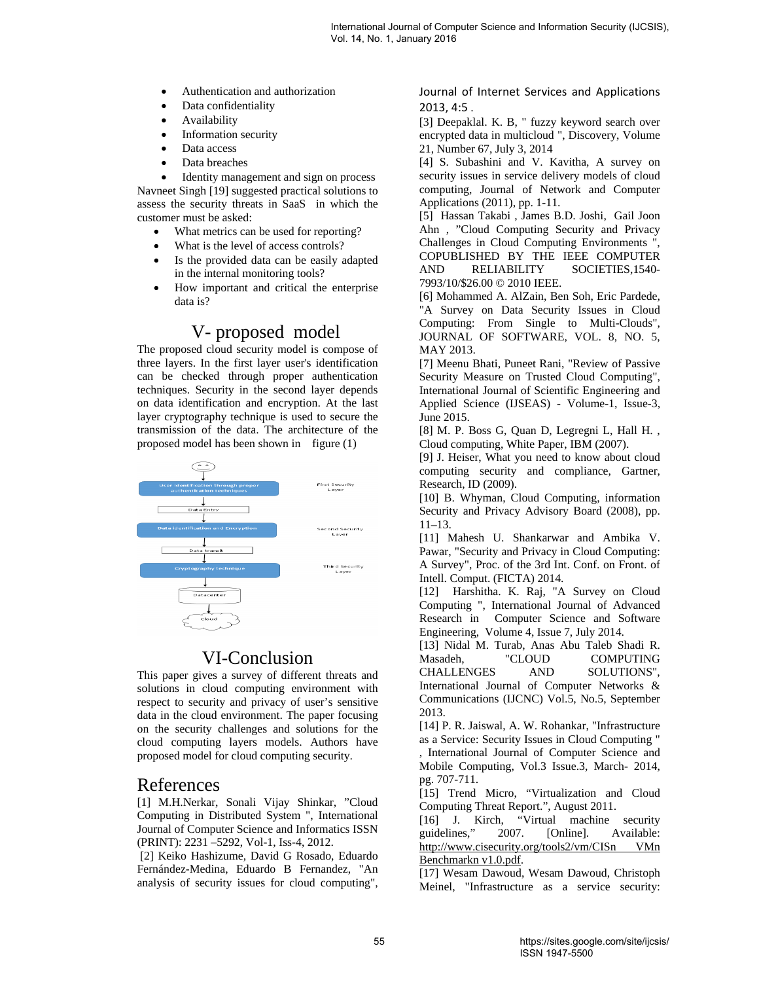- Authentication and authorization
- Data confidentiality
- Availability
- Information security
- Data access
- Data breaches

• Identity management and sign on process Navneet Singh [19] suggested practical solutions to assess the security threats in SaaS in which the customer must be asked:

- What metrics can be used for reporting?
- What is the level of access controls?
- Is the provided data can be easily adapted in the internal monitoring tools?
- How important and critical the enterprise data is?

## V- proposed model

The proposed cloud security model is compose of three layers. In the first layer user's identification can be checked through proper authentication techniques. Security in the second layer depends on data identification and encryption. At the last layer cryptography technique is used to secure the transmission of the data. The architecture of the proposed model has been shown in figure (1)



## VI-Conclusion

This paper gives a survey of different threats and solutions in cloud computing environment with respect to security and privacy of user's sensitive data in the cloud environment. The paper focusing on the security challenges and solutions for the cloud computing layers models. Authors have proposed model for cloud computing security.

## References

[1] M.H.Nerkar, Sonali Vijay Shinkar, "Cloud Computing in Distributed System ", International Journal of Computer Science and Informatics ISSN (PRINT): 2231 –5292, Vol-1, Iss-4, 2012.

 [2] Keiko Hashizume, David G Rosado, Eduardo Fernández-Medina, Eduardo B Fernandez, "An analysis of security issues for cloud computing",

Journal of Internet Services and Applications 2013, 4:5 .

[3] Deepaklal. K. B, " fuzzy keyword search over encrypted data in multicloud ", Discovery, Volume 21, Number 67, July 3, 2014

[4] S. Subashini and V. Kavitha, A survey on security issues in service delivery models of cloud computing, Journal of Network and Computer Applications (2011), pp. 1-11.

[5] Hassan Takabi , James B.D. Joshi, Gail Joon Ahn , "Cloud Computing Security and Privacy Challenges in Cloud Computing Environments ", COPUBLISHED BY THE IEEE COMPUTER AND RELIABILITY SOCIETIES,1540- 7993/10/\$26.00 © 2010 IEEE.

[6] Mohammed A. AlZain, Ben Soh, Eric Pardede, "A Survey on Data Security Issues in Cloud Computing: From Single to Multi-Clouds", JOURNAL OF SOFTWARE, VOL. 8, NO. 5, MAY 2013.

[7] Meenu Bhati, Puneet Rani, "Review of Passive Security Measure on Trusted Cloud Computing", International Journal of Scientific Engineering and Applied Science (IJSEAS) - Volume-1, Issue-3, June 2015.

[8] M. P. Boss G, Quan D, Legregni L, Hall H. , Cloud computing, White Paper, IBM (2007).

[9] J. Heiser, What you need to know about cloud computing security and compliance, Gartner, Research, ID (2009).

[10] B. Whyman, Cloud Computing, information Security and Privacy Advisory Board (2008), pp. 11–13.

[11] Mahesh U. Shankarwar and Ambika V. Pawar, "Security and Privacy in Cloud Computing: A Survey", Proc. of the 3rd Int. Conf. on Front. of Intell. Comput. (FICTA) 2014.

[12] Harshitha. K. Raj, "A Survey on Cloud Computing ", International Journal of Advanced Research in Computer Science and Software Engineering, Volume 4, Issue 7, July 2014.

[13] Nidal M. Turab, Anas Abu Taleb Shadi R. Masadeh, "CLOUD COMPUTING CHALLENGES AND SOLUTIONS", International Journal of Computer Networks & Communications (IJCNC) Vol.5, No.5, September 2013.

[14] P. R. Jaiswal, A. W. Rohankar, "Infrastructure as a Service: Security Issues in Cloud Computing " , International Journal of Computer Science and Mobile Computing, Vol.3 Issue.3, March- 2014, pg. 707-711.

[15] Trend Micro, "Virtualization and Cloud Computing Threat Report.", August 2011.

[16] J. Kirch, "Virtual machine security guidelines," 2007. [Online]. Available: http://www.cisecurity.org/tools2/vm/CISn VMn Benchmarkn v1.0.pdf.

[17] Wesam Dawoud, Wesam Dawoud, Christoph Meinel, "Infrastructure as a service security: